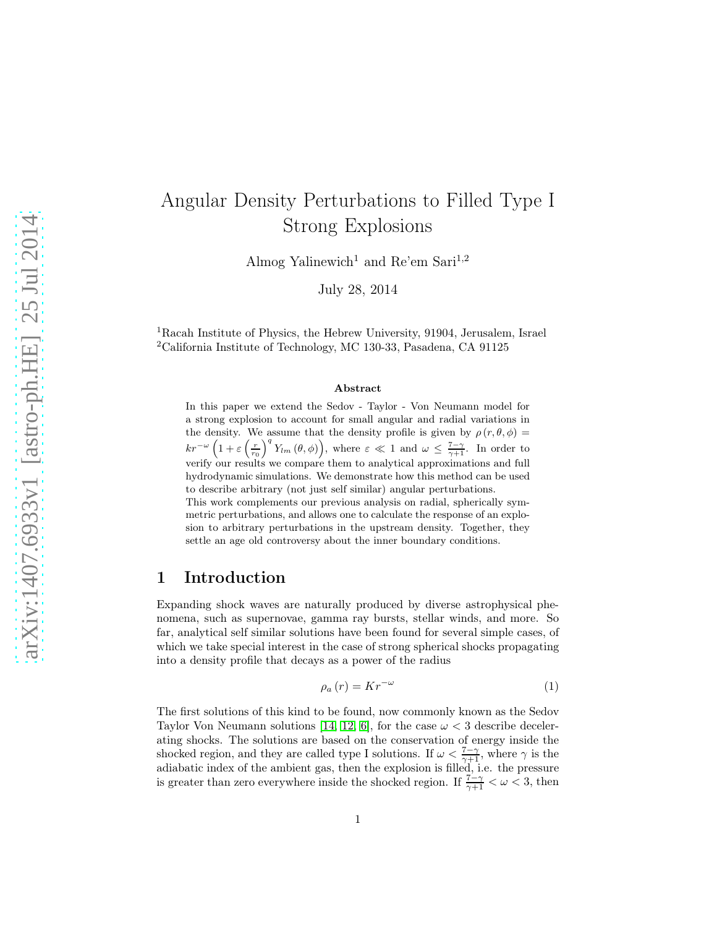# Angular Density Perturbations to Filled Type I Strong Explosions

Almog Yalinewich<sup>1</sup> and Re'em Sari<sup>1,2</sup>

July 28, 2014

<sup>1</sup>Racah Institute of Physics, the Hebrew University, 91904, Jerusalem, Israel <sup>2</sup>California Institute of Technology, MC 130-33, Pasadena, CA 91125

#### Abstract

In this paper we extend the Sedov - Taylor - Von Neumann model for a strong explosion to account for small angular and radial variations in the density. We assume that the density profile is given by  $\rho(r, \theta, \phi)$  =  $kr^{-\omega}\left(1+\varepsilon\left(\frac{r}{r_0}\right)^q Y_{lm}\left(\theta,\phi\right)\right)$ , where  $\varepsilon \ll 1$  and  $\omega \leq \frac{7-\gamma}{\gamma+1}$ . In order to verify our results we compare them to analytical approximations and full hydrodynamic simulations. We demonstrate how this method can be used to describe arbitrary (not just self similar) angular perturbations. This work complements our previous analysis on radial, spherically symmetric perturbations, and allows one to calculate the response of an explosion to arbitrary perturbations in the upstream density. Together, they settle an age old controversy about the inner boundary conditions.

### 1 Introduction

Expanding shock waves are naturally produced by diverse astrophysical phenomena, such as supernovae, gamma ray bursts, stellar winds, and more. So far, analytical self similar solutions have been found for several simple cases, of which we take special interest in the case of strong spherical shocks propagating into a density profile that decays as a power of the radius

$$
\rho_a(r) = Kr^{-\omega} \tag{1}
$$

The first solutions of this kind to be found, now commonly known as the Sedov Taylor Von Neumann solutions [\[14,](#page-11-0) [12,](#page-10-0) [6\]](#page-10-1), for the case  $\omega < 3$  describe decelerating shocks. The solutions are based on the conservation of energy inside the shocked region, and they are called type I solutions. If  $\omega < \frac{7-\gamma}{\gamma+1}$ , where  $\gamma$  is the adiabatic index of the ambient gas, then the explosion is filled, i.e. the pressure is greater than zero everywhere inside the shocked region. If  $\frac{7-\gamma}{\gamma+1} < \omega < 3$ , then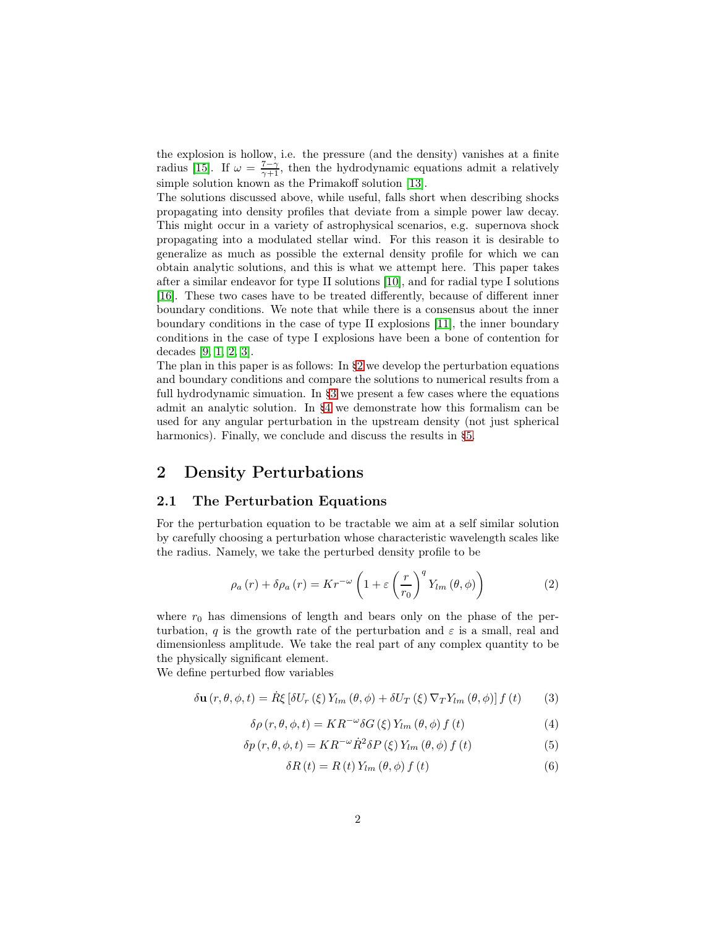the explosion is hollow, i.e. the pressure (and the density) vanishes at a finite radius [\[15\]](#page-11-1). If  $\omega = \frac{7-\gamma}{\gamma+1}$ , then the hydrodynamic equations admit a relatively simple solution known as the Primakoff solution [\[13\]](#page-10-2).

The solutions discussed above, while useful, falls short when describing shocks propagating into density profiles that deviate from a simple power law decay. This might occur in a variety of astrophysical scenarios, e.g. supernova shock propagating into a modulated stellar wind. For this reason it is desirable to generalize as much as possible the external density profile for which we can obtain analytic solutions, and this is what we attempt here. This paper takes after a similar endeavor for type II solutions [\[10\]](#page-10-3), and for radial type I solutions [\[16\]](#page-11-2). These two cases have to be treated differently, because of different inner boundary conditions. We note that while there is a consensus about the inner boundary conditions in the case of type II explosions [\[11\]](#page-10-4), the inner boundary conditions in the case of type I explosions have been a bone of contention for decades [\[9,](#page-10-5) [1,](#page-10-6) [2,](#page-10-7) [3\]](#page-10-8).

The plan in this paper is as follows: In [§2](#page-1-0) we develop the perturbation equations and boundary conditions and compare the solutions to numerical results from a full hydrodynamic simuation. In [§3](#page-4-0) we present a few cases where the equations admit an analytic solution. In [§4](#page-7-0) we demonstrate how this formalism can be used for any angular perturbation in the upstream density (not just spherical harmonics). Finally, we conclude and discuss the results in [§5.](#page-9-0)

### <span id="page-1-0"></span>2 Density Perturbations

### 2.1 The Perturbation Equations

For the perturbation equation to be tractable we aim at a self similar solution by carefully choosing a perturbation whose characteristic wavelength scales like the radius. Namely, we take the perturbed density profile to be

<span id="page-1-1"></span>
$$
\rho_a(r) + \delta \rho_a(r) = Kr^{-\omega} \left( 1 + \varepsilon \left( \frac{r}{r_0} \right)^q Y_{lm} \left( \theta, \phi \right) \right) \tag{2}
$$

where  $r_0$  has dimensions of length and bears only on the phase of the perturbation, q is the growth rate of the perturbation and  $\varepsilon$  is a small, real and dimensionless amplitude. We take the real part of any complex quantity to be the physically significant element.

We define perturbed flow variables

$$
\delta \mathbf{u}(r,\theta,\phi,t) = \dot{R}\xi \left[ \delta U_r\left(\xi\right) Y_{lm}\left(\theta,\phi\right) + \delta U_T\left(\xi\right) \nabla_T Y_{lm}\left(\theta,\phi\right) \right] f\left(t\right) \tag{3}
$$

$$
\delta \rho (r, \theta, \phi, t) = KR^{-\omega} \delta G \left( \xi \right) Y_{lm} \left( \theta, \phi \right) f \left( t \right) \tag{4}
$$

$$
\delta p(r,\theta,\phi,t) = KR^{-\omega}\dot{R}^{2}\delta P(\xi)Y_{lm}(\theta,\phi) f(t)
$$
\n(5)

$$
\delta R(t) = R(t) Y_{lm}(\theta, \phi) f(t)
$$
\n(6)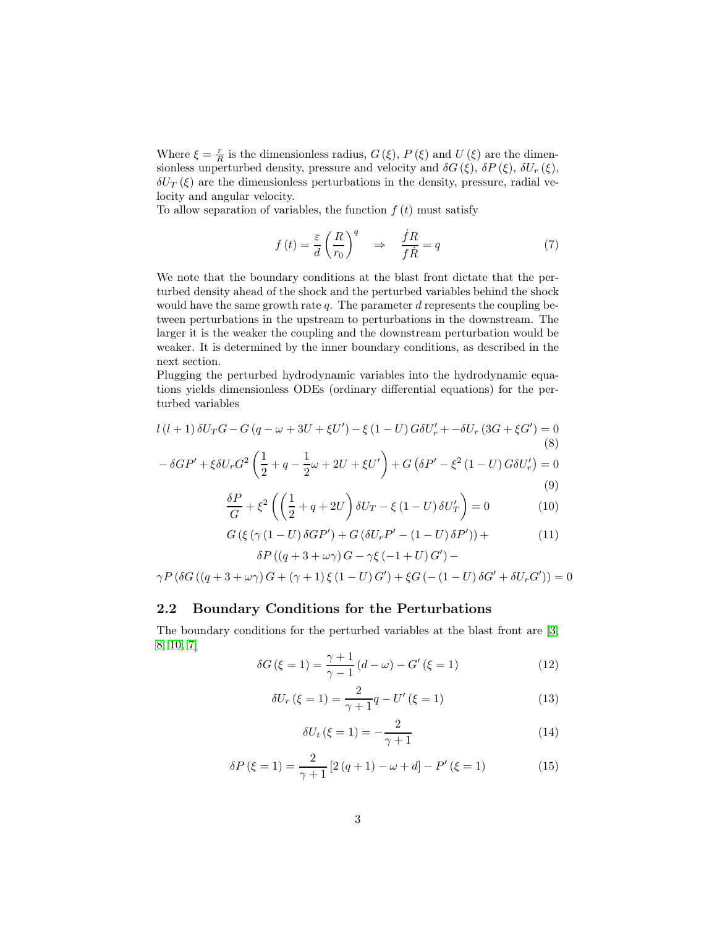Where  $\xi = \frac{r}{R}$  is the dimensionless radius,  $G(\xi)$ ,  $P(\xi)$  and  $U(\xi)$  are the dimensionless unperturbed density, pressure and velocity and  $\delta G(\xi)$ ,  $\delta P(\xi)$ ,  $\delta U_r(\xi)$ ,  $\delta U_T(\xi)$  are the dimensionless perturbations in the density, pressure, radial velocity and angular velocity.

To allow separation of variables, the function  $f(t)$  must satisfy

$$
f(t) = \frac{\varepsilon}{d} \left(\frac{R}{r_0}\right)^q \quad \Rightarrow \quad \frac{\dot{f}R}{f\dot{R}} = q \tag{7}
$$

We note that the boundary conditions at the blast front dictate that the perturbed density ahead of the shock and the perturbed variables behind the shock would have the same growth rate q. The parameter  $d$  represents the coupling between perturbations in the upstream to perturbations in the downstream. The larger it is the weaker the coupling and the downstream perturbation would be weaker. It is determined by the inner boundary conditions, as described in the next section.

Plugging the perturbed hydrodynamic variables into the hydrodynamic equations yields dimensionless ODEs (ordinary differential equations) for the perturbed variables

<span id="page-2-1"></span>
$$
l(l+1)\delta U_T G - G(q - \omega + 3U + \xi U') - \xi (1 - U) G \delta U'_r + -\delta U_r (3G + \xi G') = 0
$$
\n(8)

$$
-\delta GP' + \xi \delta U_r G^2 \left(\frac{1}{2} + q - \frac{1}{2}\omega + 2U + \xi U'\right) + G\left(\delta P' - \xi^2 (1 - U) G \delta U'_r\right) = 0
$$
\n(9)

$$
\frac{\delta P}{G} + \xi^2 \left( \left( \frac{1}{2} + q + 2U \right) \delta U_T - \xi \left( 1 - U \right) \delta U'_T \right) = 0 \tag{10}
$$

<span id="page-2-2"></span>
$$
G\left(\xi\left(\gamma\left(1-U\right)\delta GP'\right)+G\left(\delta U_rP'-(1-U)\delta P'\right)\right)+\delta P\left(\left(q+3+\omega\gamma\right)G-\gamma\xi\left(-1+U\right)G'\right)-\tag{11}
$$

 $\gamma P (\delta G ((q + 3 + \omega \gamma) G + (\gamma + 1) \xi (1 - U) G') + \xi G (-(1 - U) \delta G' + \delta U_r G')) = 0$ 

### 2.2 Boundary Conditions for the Perturbations

The boundary conditions for the perturbed variables at the blast front are [\[3,](#page-10-8) [8,](#page-10-9) [10,](#page-10-3) [7\]](#page-10-10)

<span id="page-2-0"></span>
$$
\delta G(\xi = 1) = \frac{\gamma + 1}{\gamma - 1} (d - \omega) - G'(\xi = 1)
$$
 (12)

<span id="page-2-3"></span>
$$
\delta U_r (\xi = 1) = \frac{2}{\gamma + 1} q - U' (\xi = 1)
$$
\n(13)

<span id="page-2-4"></span>
$$
\delta U_t \left( \xi = 1 \right) = -\frac{2}{\gamma + 1} \tag{14}
$$

<span id="page-2-5"></span>
$$
\delta P(\xi = 1) = \frac{2}{\gamma + 1} \left[ 2(q + 1) - \omega + d \right] - P'(\xi = 1)
$$
 (15)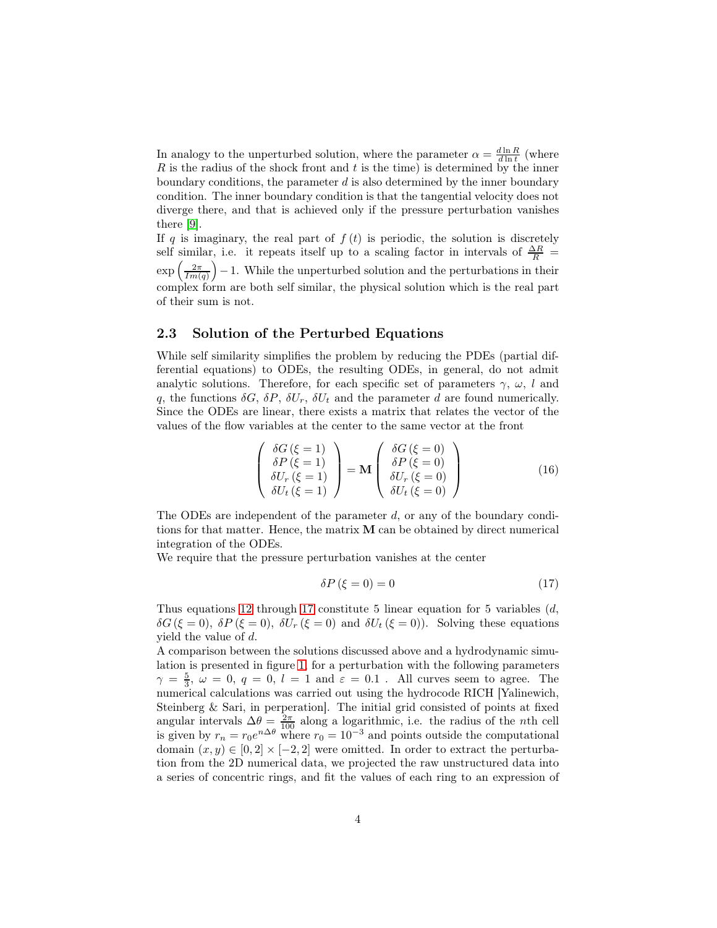In analogy to the unperturbed solution, where the parameter  $\alpha = \frac{d \ln R}{d \ln t}$  (where  $R$  is the radius of the shock front and  $t$  is the time) is determined by the inner boundary conditions, the parameter  $d$  is also determined by the inner boundary condition. The inner boundary condition is that the tangential velocity does not diverge there, and that is achieved only if the pressure perturbation vanishes there [\[9\]](#page-10-5).

If q is imaginary, the real part of  $f(t)$  is periodic, the solution is discretely self similar, i.e. it repeats itself up to a scaling factor in intervals of  $\frac{\Delta R}{R}$  =  $\exp\left(\frac{2\pi}{Im(q)}\right) - 1$ . While the unperturbed solution and the perturbations in their complex form are both self similar, the physical solution which is the real part of their sum is not.

#### 2.3 Solution of the Perturbed Equations

While self similarity simplifies the problem by reducing the PDEs (partial differential equations) to ODEs, the resulting ODEs, in general, do not admit analytic solutions. Therefore, for each specific set of parameters  $\gamma$ ,  $\omega$ , l and q, the functions  $\delta G$ ,  $\delta P$ ,  $\delta U_r$ ,  $\delta U_t$  and the parameter d are found numerically. Since the ODEs are linear, there exists a matrix that relates the vector of the values of the flow variables at the center to the same vector at the front

$$
\begin{pmatrix}\n\delta G \ (\xi = 1) \\
\delta P \ (\xi = 1) \\
\delta U_r \ (\xi = 1) \\
\delta U_t \ (\xi = 1)\n\end{pmatrix} = \mathbf{M} \begin{pmatrix}\n\delta G \ (\xi = 0) \\
\delta P \ (\xi = 0) \\
\delta U_r \ (\xi = 0) \\
\delta U_t \ (\xi = 0)\n\end{pmatrix}
$$
\n(16)

The ODEs are independent of the parameter d, or any of the boundary conditions for that matter. Hence, the matrix M can be obtained by direct numerical integration of the ODEs.

We require that the pressure perturbation vanishes at the center

<span id="page-3-0"></span>
$$
\delta P \left( \xi = 0 \right) = 0 \tag{17}
$$

Thus equations [12](#page-2-0) through [17](#page-3-0) constitute 5 linear equation for 5 variables  $(d,$  $\delta G(\xi = 0)$ ,  $\delta P(\xi = 0)$ ,  $\delta U_r(\xi = 0)$  and  $\delta U_t(\xi = 0)$ . Solving these equations yield the value of d.

A comparison between the solutions discussed above and a hydrodynamic simulation is presented in figure [1,](#page-4-1) for a perturbation with the following parameters  $\gamma = \frac{5}{3}, \ \omega = 0, \ q = 0, \ l = 1 \text{ and } \varepsilon = 0.1$ . All curves seem to agree. The numerical calculations was carried out using the hydrocode RICH [Yalinewich, Steinberg & Sari, in perperation]. The initial grid consisted of points at fixed angular intervals  $\Delta\theta = \frac{2\pi}{100}$  along a logarithmic, i.e. the radius of the *n*th cell is given by  $r_n = r_0 e^{n\Delta\theta}$  where  $r_0 = 10^{-3}$  and points outside the computational domain  $(x, y) \in [0, 2] \times [-2, 2]$  were omitted. In order to extract the perturbation from the 2D numerical data, we projected the raw unstructured data into a series of concentric rings, and fit the values of each ring to an expression of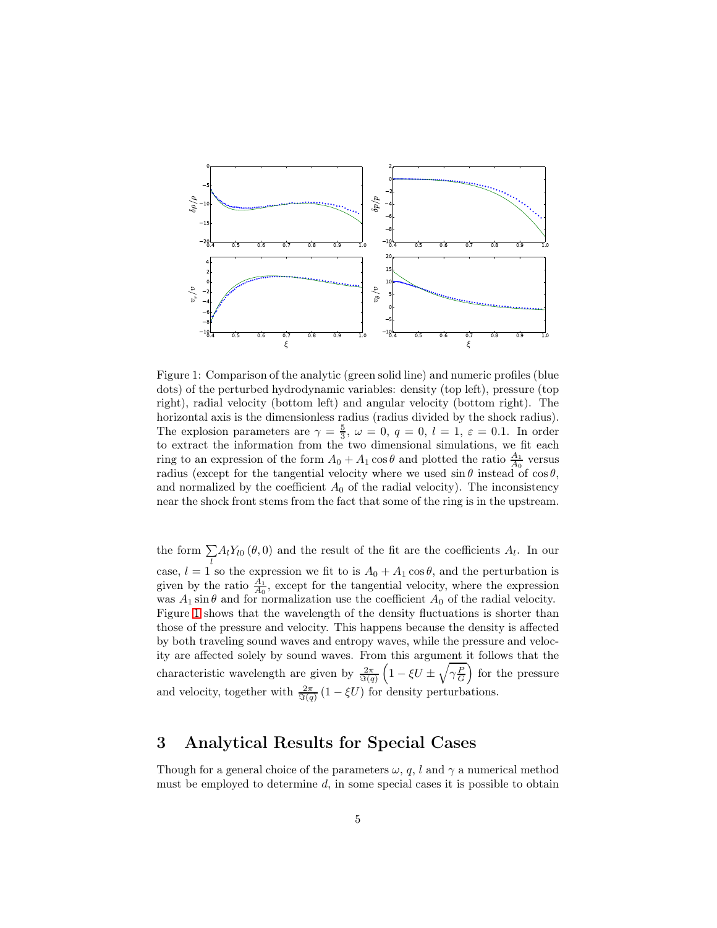

<span id="page-4-1"></span>Figure 1: Comparison of the analytic (green solid line) and numeric profiles (blue dots) of the perturbed hydrodynamic variables: density (top left), pressure (top right), radial velocity (bottom left) and angular velocity (bottom right). The horizontal axis is the dimensionless radius (radius divided by the shock radius). The explosion parameters are  $\gamma = \frac{5}{3}$ ,  $\omega = 0$ ,  $q = 0$ ,  $l = 1$ ,  $\varepsilon = 0.1$ . In order to extract the information from the two dimensional simulations, we fit each ring to an expression of the form  $A_0 + A_1 \cos \theta$  and plotted the ratio  $\frac{A_1}{A_0}$  versus radius (except for the tangential velocity where we used  $\sin \theta$  instead of  $\cos \theta$ , and normalized by the coefficient  $A_0$  of the radial velocity). The inconsistency near the shock front stems from the fact that some of the ring is in the upstream.

the form  $\sum A_l Y_{l0} (\theta, 0)$  and the result of the fit are the coefficients  $A_l$ . In our case,  $l = 1$  so the expression we fit to is  $A_0 + A_1 \cos \theta$ , and the perturbation is given by the ratio  $\frac{A_1}{A_0}$ , except for the tangential velocity, where the expression was  $A_1 \sin \theta$  and for normalization use the coefficient  $A_0$  of the radial velocity. Figure [1](#page-4-1) shows that the wavelength of the density fluctuations is shorter than those of the pressure and velocity. This happens because the density is affected by both traveling sound waves and entropy waves, while the pressure and velocity are affected solely by sound waves. From this argument it follows that the characteristic wavelength are given by  $\frac{2\pi}{\Im(q)}$  $\left(1 - \xi U \pm \sqrt{\gamma \frac{P}{G}}\right)$  for the pressure and velocity, together with  $\frac{2\pi}{\Im(q)}(1-\xi U)$  for density perturbations.

## <span id="page-4-0"></span>3 Analytical Results for Special Cases

Though for a general choice of the parameters  $\omega$ , q, l and  $\gamma$  a numerical method must be employed to determine  $d$ , in some special cases it is possible to obtain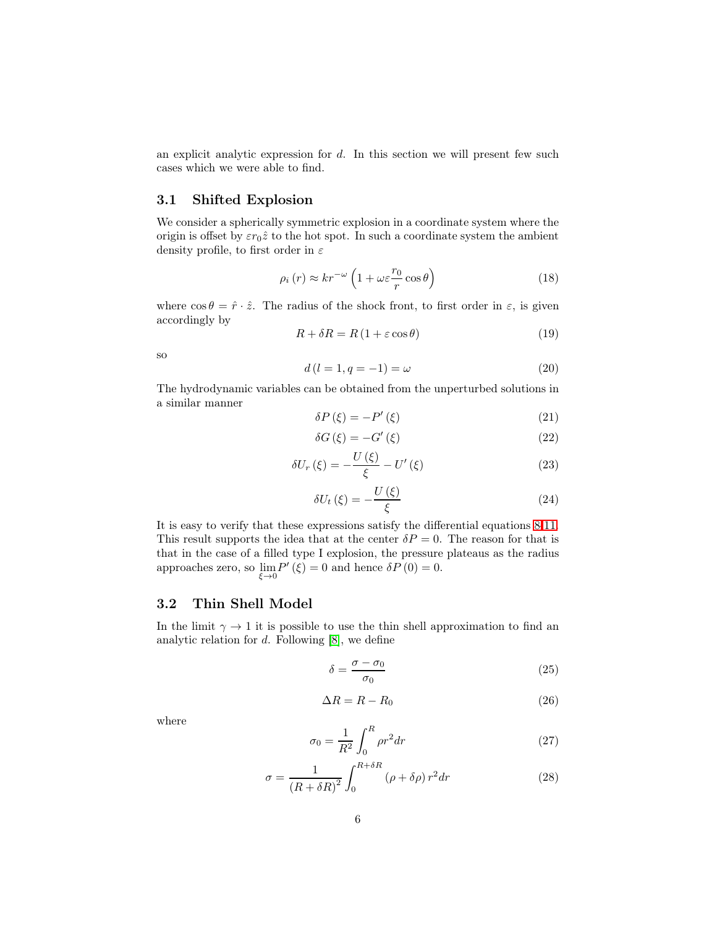an explicit analytic expression for d. In this section we will present few such cases which we were able to find.

### 3.1 Shifted Explosion

We consider a spherically symmetric explosion in a coordinate system where the origin is offset by  $\varepsilon r_0\hat{z}$  to the hot spot. In such a coordinate system the ambient density profile, to first order in  $\varepsilon$ 

$$
\rho_i(r) \approx kr^{-\omega} \left( 1 + \omega \varepsilon \frac{r_0}{r} \cos \theta \right) \tag{18}
$$

where  $\cos \theta = \hat{r} \cdot \hat{z}$ . The radius of the shock front, to first order in  $\varepsilon$ , is given accordingly by

$$
R + \delta R = R \left( 1 + \varepsilon \cos \theta \right) \tag{19}
$$

so

<span id="page-5-0"></span>
$$
d(l = 1, q = -1) = \omega \tag{20}
$$

The hydrodynamic variables can be obtained from the unperturbed solutions in a similar manner

$$
\delta P\left(\xi\right) = -P'\left(\xi\right) \tag{21}
$$

$$
\delta G\left(\xi\right) = -G'\left(\xi\right) \tag{22}
$$

$$
\delta U_r(\xi) = -\frac{U(\xi)}{\xi} - U'(\xi)
$$
\n(23)

$$
\delta U_t \left( \xi \right) = -\frac{U \left( \xi \right)}{\xi} \tag{24}
$$

It is easy to verify that these expressions satisfy the differential equations [8](#page-2-1)[-11.](#page-2-2) This result supports the idea that at the center  $\delta P = 0$ . The reason for that is that in the case of a filled type I explosion, the pressure plateaus as the radius approaches zero, so  $\lim_{\xi \to 0} P'(\xi) = 0$  and hence  $\delta P(0) = 0$ .

#### 3.2 Thin Shell Model

In the limit  $\gamma \to 1$  it is possible to use the thin shell approximation to find an analytic relation for  $d$ . Following  $[8]$ , we define

$$
\delta = \frac{\sigma - \sigma_0}{\sigma_0} \tag{25}
$$

$$
\Delta R = R - R_0 \tag{26}
$$

where

$$
\sigma_0 = \frac{1}{R^2} \int_0^R \rho r^2 dr \tag{27}
$$

$$
\sigma = \frac{1}{\left(R + \delta R\right)^2} \int_0^{R + \delta R} \left(\rho + \delta \rho\right) r^2 dr \tag{28}
$$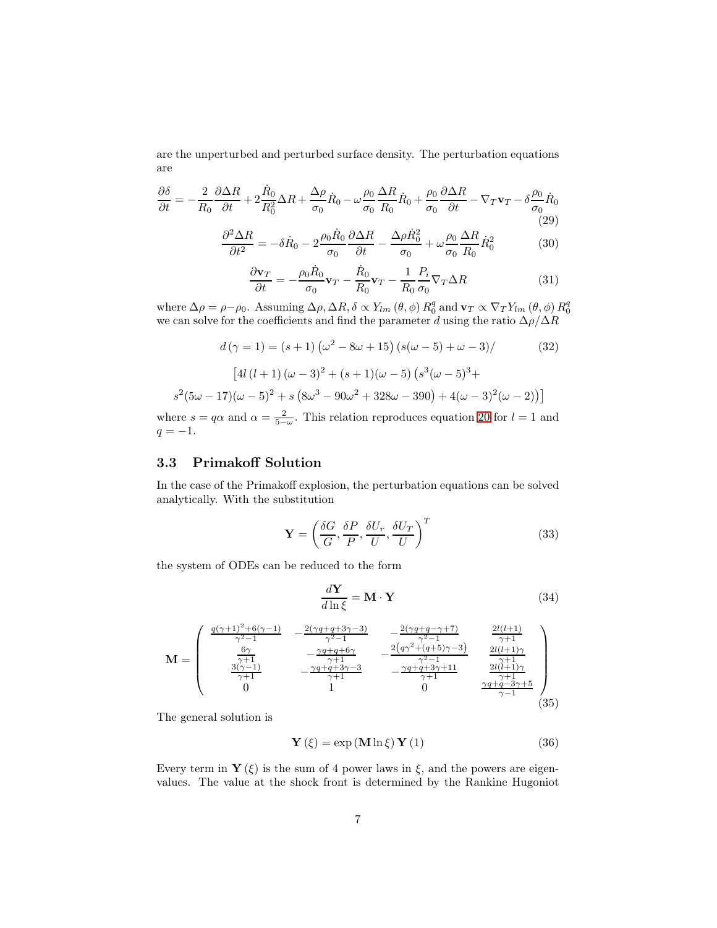are the unperturbed and perturbed surface density. The perturbation equations are

$$
\frac{\partial \delta}{\partial t} = -\frac{2}{R_0} \frac{\partial \Delta R}{\partial t} + 2 \frac{\dot{R}_0}{R_0^2} \Delta R + \frac{\Delta \rho}{\sigma_0} \dot{R}_0 - \omega \frac{\rho_0}{\sigma_0} \frac{\Delta R}{R_0} \dot{R}_0 + \frac{\rho_0}{\sigma_0} \frac{\partial \Delta R}{\partial t} - \nabla_T \mathbf{v}_T - \delta \frac{\rho_0}{\sigma_0} \dot{R}_0
$$
\n(29)

$$
\frac{\partial^2 \Delta R}{\partial t^2} = -\delta \dot{R}_0 - 2 \frac{\rho_0 \dot{R}_0}{\sigma_0} \frac{\partial \Delta R}{\partial t} - \frac{\Delta \rho \dot{R}_0^2}{\sigma_0} + \omega \frac{\rho_0}{\sigma_0} \frac{\Delta R}{R_0} \dot{R}_0^2 \tag{30}
$$

$$
\frac{\partial \mathbf{v}_T}{\partial t} = -\frac{\rho_0 \dot{R}_0}{\sigma_0} \mathbf{v}_T - \frac{\dot{R}_0}{R_0} \mathbf{v}_T - \frac{1}{R_0} \frac{P_i}{\sigma_0} \nabla_T \Delta R \tag{31}
$$

where  $\Delta \rho = \rho - \rho_0$ . Assuming  $\Delta \rho$ ,  $\Delta R$ ,  $\delta \propto Y_{lm}(\theta, \phi) R_0^q$  and  $\mathbf{v}_T \propto \nabla_T Y_{lm}(\theta, \phi) R_0^q$ we can solve for the coefficients and find the parameter  $d$  using the ratio  $\Delta\rho/\Delta R$ 

$$
d(\gamma = 1) = (s+1) (\omega^2 - 8\omega + 15) (s(\omega - 5) + \omega - 3) / \tag{32}
$$
  
\n
$$
[4l(l+1) (\omega - 3)^2 + (s+1)(\omega - 5) (s^3(\omega - 5)^3 +
$$
  
\n
$$
s^2(5\omega - 17)(\omega - 5)^2 + s (8\omega^3 - 90\omega^2 + 328\omega - 390) + 4(\omega - 3)^2(\omega - 2))]
$$

where  $s = q\alpha$  and  $\alpha = \frac{2}{5-\omega}$ . This relation reproduces equation [20](#page-5-0) for  $l = 1$  and  $q = -1.$ 

### 3.3 Primakoff Solution

In the case of the Primakoff explosion, the perturbation equations can be solved analytically. With the substitution

$$
\mathbf{Y} = \left(\frac{\delta G}{G}, \frac{\delta P}{P}, \frac{\delta U_r}{U}, \frac{\delta U_T}{U}\right)^T
$$
(33)

the system of ODEs can be reduced to the form

$$
\frac{d\mathbf{Y}}{d\ln\xi} = \mathbf{M} \cdot \mathbf{Y} \tag{34}
$$

$$
\mathbf{M} = \begin{pmatrix} \frac{q(\gamma+1)^2 + 6(\gamma-1)}{\gamma^2 - 1} & -\frac{2(\gamma q + q + 3\gamma - 3)}{\gamma^2 - 1} & -\frac{2(\gamma q + q - \gamma + 7)}{\gamma^2 - 1} & \frac{2l(l+1)}{\gamma+1} \\ \frac{6\gamma}{\gamma+1} & -\frac{\gamma q + q + 6\gamma}{\gamma+1} & -\frac{2(q\gamma^2 + (q+5)\gamma - 3)}{\gamma^2 - 1} & \frac{2l(l+1)\gamma}{\gamma+1} \\ \frac{3(\gamma-1)}{\gamma+1} & -\frac{\gamma q + q + 3\gamma - 3}{\gamma+1} & -\frac{\gamma q + q + 3\gamma + 11}{\gamma+1} & \frac{2l(l+1)\gamma}{\gamma+1} \\ 0 & 1 & 0 & \frac{\gamma q + q - 3\gamma + 5}{\gamma - 1} \end{pmatrix}
$$
(35)

The general solution is

$$
\mathbf{Y}\left(\xi\right) = \exp\left(\mathbf{M}\ln\xi\right)\mathbf{Y}\left(1\right) \tag{36}
$$

Every term in  $\mathbf{Y}(\xi)$  is the sum of 4 power laws in  $\xi$ , and the powers are eigenvalues. The value at the shock front is determined by the Rankine Hugoniot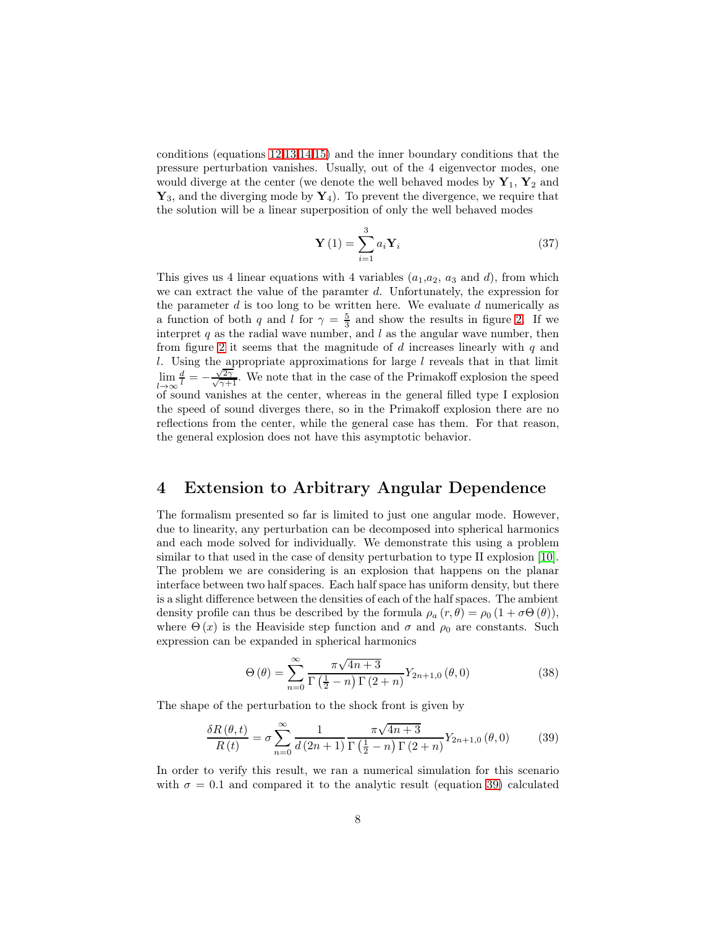conditions (equations [12](#page-2-0)[,13,](#page-2-3)[14,](#page-2-4)[15\)](#page-2-5) and the inner boundary conditions that the pressure perturbation vanishes. Usually, out of the 4 eigenvector modes, one would diverge at the center (we denote the well behaved modes by  $Y_1, Y_2$  and  $\mathbf{Y}_3$ , and the diverging mode by  $\mathbf{Y}_4$ ). To prevent the divergence, we require that the solution will be a linear superposition of only the well behaved modes

$$
\mathbf{Y}\left(1\right) = \sum_{i=1}^{3} a_i \mathbf{Y}_i \tag{37}
$$

This gives us 4 linear equations with 4 variables  $(a_1,a_2, a_3 \text{ and } d)$ , from which we can extract the value of the paramter d. Unfortunately, the expression for the parameter d is too long to be written here. We evaluate d numerically as a function of both q and l for  $\gamma = \frac{5}{3}$  and show the results in figure [2.](#page-8-0) If we interpret  $q$  as the radial wave number, and  $l$  as the angular wave number, then from figure [2](#page-8-0) it seems that the magnitude of  $d$  increases linearly with  $q$  and  $l$ . Using the appropriate approximations for large  $l$  reveals that in that limit lim  $\lim_{c\to\infty}$  $\frac{d}{l} = -\frac{\sqrt{2\gamma}}{\sqrt{\gamma+1}}$ . We note that in the case of the Primakoff explosion the speed of sound vanishes at the center, whereas in the general filled type I explosion the speed of sound diverges there, so in the Primakoff explosion there are no reflections from the center, while the general case has them. For that reason, the general explosion does not have this asymptotic behavior.

### <span id="page-7-0"></span>4 Extension to Arbitrary Angular Dependence

The formalism presented so far is limited to just one angular mode. However, due to linearity, any perturbation can be decomposed into spherical harmonics and each mode solved for individually. We demonstrate this using a problem similar to that used in the case of density perturbation to type II explosion [\[10\]](#page-10-3). The problem we are considering is an explosion that happens on the planar interface between two half spaces. Each half space has uniform density, but there is a slight difference between the densities of each of the half spaces. The ambient density profile can thus be described by the formula  $\rho_a(r,\theta) = \rho_0 (1 + \sigma \Theta(\theta)),$ where  $\Theta(x)$  is the Heaviside step function and  $\sigma$  and  $\rho_0$  are constants. Such expression can be expanded in spherical harmonics

$$
\Theta\left(\theta\right) = \sum_{n=0}^{\infty} \frac{\pi\sqrt{4n+3}}{\Gamma\left(\frac{1}{2}-n\right)\Gamma\left(2+n\right)} Y_{2n+1,0}\left(\theta,0\right) \tag{38}
$$

The shape of the perturbation to the shock front is given by

<span id="page-7-1"></span>
$$
\frac{\delta R(\theta, t)}{R(t)} = \sigma \sum_{n=0}^{\infty} \frac{1}{d(2n+1)} \frac{\pi \sqrt{4n+3}}{\Gamma(\frac{1}{2} - n) \Gamma(2+n)} Y_{2n+1,0}(\theta, 0)
$$
(39)

In order to verify this result, we ran a numerical simulation for this scenario with  $\sigma = 0.1$  and compared it to the analytic result (equation [39\)](#page-7-1) calculated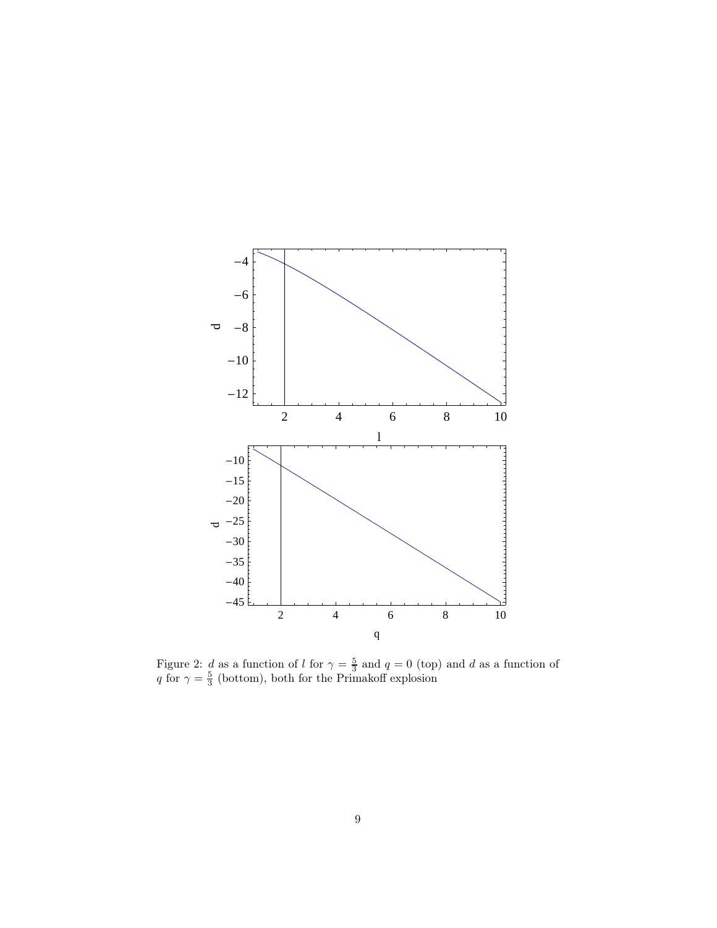

<span id="page-8-0"></span>Figure 2: d as a function of l for  $\gamma = \frac{5}{3}$  and  $q = 0$  (top) and d as a function of q for  $\gamma = \frac{5}{3}$  (bottom), both for the Primakoff explosion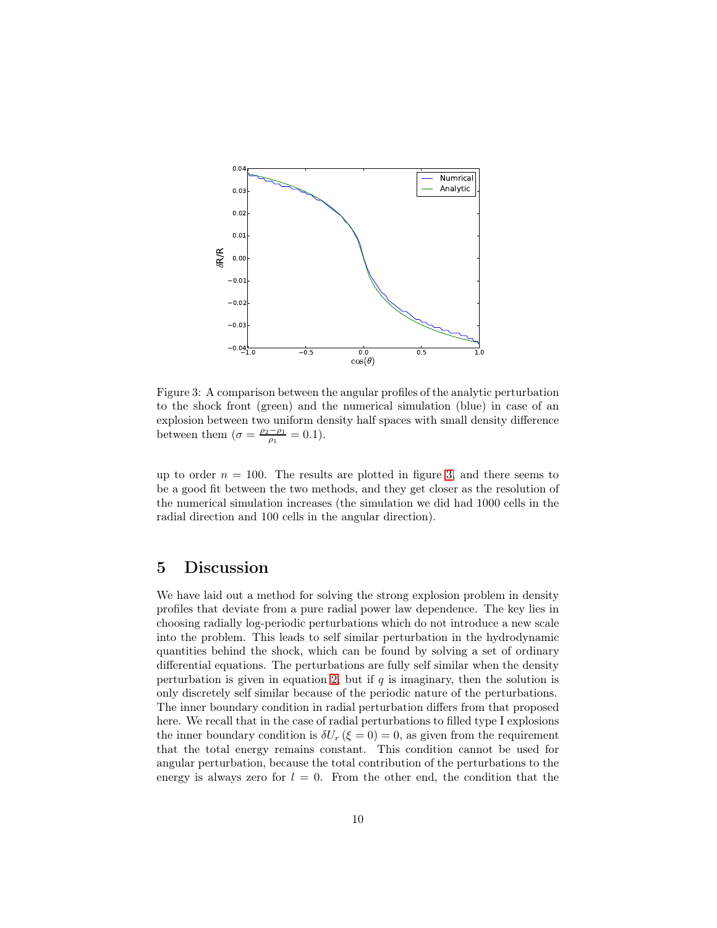

<span id="page-9-1"></span>Figure 3: A comparison between the angular profiles of the analytic perturbation to the shock front (green) and the numerical simulation (blue) in case of an explosion between two uniform density half spaces with small density difference between them  $(\sigma = \frac{\rho_2 - \rho_1}{\rho_1} = 0.1).$ 

up to order  $n = 100$ . The results are plotted in figure [3,](#page-9-1) and there seems to be a good fit between the two methods, and they get closer as the resolution of the numerical simulation increases (the simulation we did had 1000 cells in the radial direction and 100 cells in the angular direction).

### <span id="page-9-0"></span>5 Discussion

We have laid out a method for solving the strong explosion problem in density profiles that deviate from a pure radial power law dependence. The key lies in choosing radially log-periodic perturbations which do not introduce a new scale into the problem. This leads to self similar perturbation in the hydrodynamic quantities behind the shock, which can be found by solving a set of ordinary differential equations. The perturbations are fully self similar when the density perturbation is given in equation [2,](#page-1-1) but if  $q$  is imaginary, then the solution is only discretely self similar because of the periodic nature of the perturbations. The inner boundary condition in radial perturbation differs from that proposed here. We recall that in the case of radial perturbations to filled type I explosions the inner boundary condition is  $\delta U_r$  ( $\xi = 0$ ) = 0, as given from the requirement that the total energy remains constant. This condition cannot be used for angular perturbation, because the total contribution of the perturbations to the energy is always zero for  $l = 0$ . From the other end, the condition that the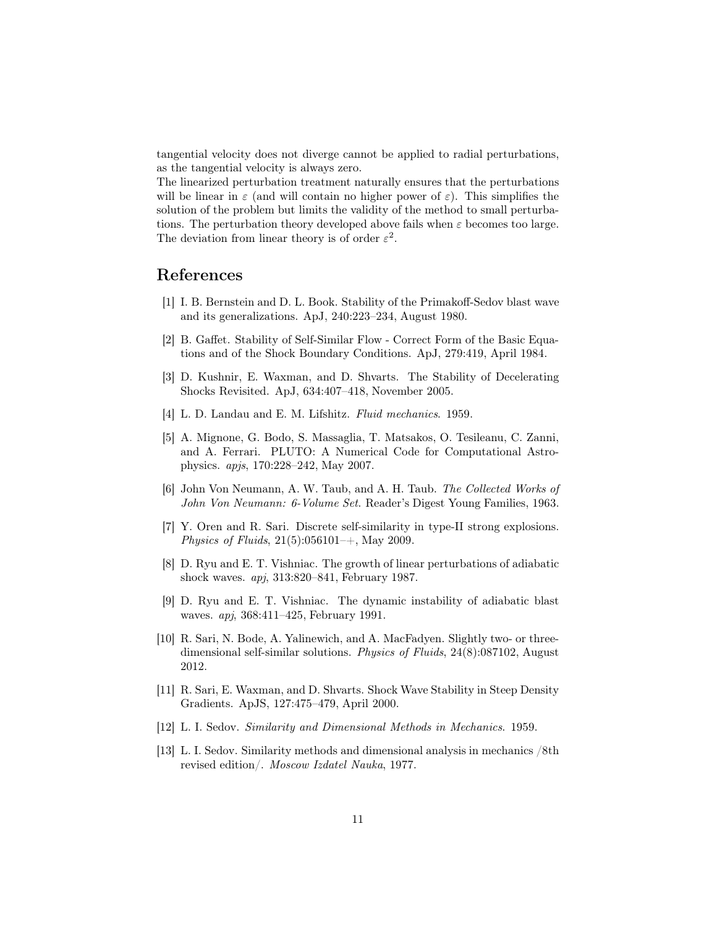tangential velocity does not diverge cannot be applied to radial perturbations, as the tangential velocity is always zero.

The linearized perturbation treatment naturally ensures that the perturbations will be linear in  $\varepsilon$  (and will contain no higher power of  $\varepsilon$ ). This simplifies the solution of the problem but limits the validity of the method to small perturbations. The perturbation theory developed above fails when  $\varepsilon$  becomes too large. The deviation from linear theory is of order  $\varepsilon^2$ .

### <span id="page-10-6"></span>References

- [1] I. B. Bernstein and D. L. Book. Stability of the Primakoff-Sedov blast wave and its generalizations. ApJ, 240:223–234, August 1980.
- <span id="page-10-8"></span><span id="page-10-7"></span>[2] B. Gaffet. Stability of Self-Similar Flow - Correct Form of the Basic Equations and of the Shock Boundary Conditions. ApJ, 279:419, April 1984.
- [3] D. Kushnir, E. Waxman, and D. Shvarts. The Stability of Decelerating Shocks Revisited. ApJ, 634:407–418, November 2005.
- [4] L. D. Landau and E. M. Lifshitz. *Fluid mechanics*. 1959.
- [5] A. Mignone, G. Bodo, S. Massaglia, T. Matsakos, O. Tesileanu, C. Zanni, and A. Ferrari. PLUTO: A Numerical Code for Computational Astrophysics. *apjs*, 170:228–242, May 2007.
- <span id="page-10-1"></span>[6] John Von Neumann, A. W. Taub, and A. H. Taub. *The Collected Works of John Von Neumann: 6-Volume Set*. Reader's Digest Young Families, 1963.
- <span id="page-10-10"></span>[7] Y. Oren and R. Sari. Discrete self-similarity in type-II strong explosions. *Physics of Fluids*, 21(5):056101–+, May 2009.
- <span id="page-10-9"></span>[8] D. Ryu and E. T. Vishniac. The growth of linear perturbations of adiabatic shock waves. *apj*, 313:820–841, February 1987.
- <span id="page-10-5"></span>[9] D. Ryu and E. T. Vishniac. The dynamic instability of adiabatic blast waves. *apj*, 368:411–425, February 1991.
- <span id="page-10-3"></span>[10] R. Sari, N. Bode, A. Yalinewich, and A. MacFadyen. Slightly two- or threedimensional self-similar solutions. *Physics of Fluids*, 24(8):087102, August 2012.
- <span id="page-10-4"></span>[11] R. Sari, E. Waxman, and D. Shvarts. Shock Wave Stability in Steep Density Gradients. ApJS, 127:475–479, April 2000.
- <span id="page-10-2"></span><span id="page-10-0"></span>[12] L. I. Sedov. *Similarity and Dimensional Methods in Mechanics*. 1959.
- [13] L. I. Sedov. Similarity methods and dimensional analysis in mechanics /8th revised edition/. *Moscow Izdatel Nauka*, 1977.